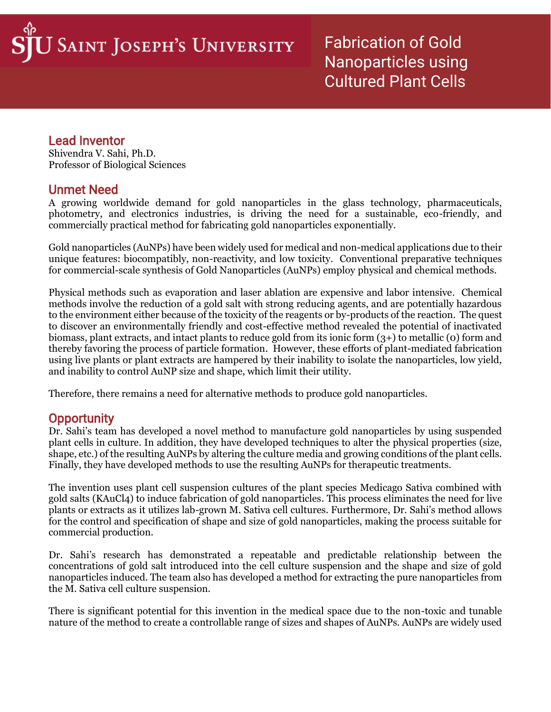Fabrication of Gold Nanoparticles using Cultured Plant Cells

## Lead Inventor

I

Shivendra V. Sahi, Ph.D. Professor of Biological Sciences

# Unmet Need

A growing worldwide demand for gold nanoparticles in the glass technology, pharmaceuticals, photometry, and electronics industries, is driving the need for a sustainable, eco-friendly, and commercially practical method for fabricating gold nanoparticles exponentially.

Gold nanoparticles (AuNPs) have been widely used for medical and non-medical applications due to their unique features: biocompatibly, non-reactivity, and low toxicity. Conventional preparative techniques for commercial-scale synthesis of Gold Nanoparticles (AuNPs) employ physical and chemical methods.

Physical methods such as evaporation and laser ablation are expensive and labor intensive. Chemical methods involve the reduction of a gold salt with strong reducing agents, and are potentially hazardous to the environment either because of the toxicity of the reagents or by-products of the reaction. The quest to discover an environmentally friendly and cost-effective method revealed the potential of inactivated biomass, plant extracts, and intact plants to reduce gold from its ionic form (3+) to metallic (0) form and thereby favoring the process of particle formation. However, these efforts of plant-mediated fabrication using live plants or plant extracts are hampered by their inability to isolate the nanoparticles, low yield, and inability to control AuNP size and shape, which limit their utility.

Therefore, there remains a need for alternative methods to produce gold nanoparticles.

## **Opportunity**

Dr. Sahi's team has developed a novel method to manufacture gold nanoparticles by using suspended plant cells in culture. In addition, they have developed techniques to alter the physical properties (size, shape, etc.) of the resulting AuNPs by altering the culture media and growing conditions of the plant cells. Finally, they have developed methods to use the resulting AuNPs for therapeutic treatments.

The invention uses plant cell suspension cultures of the plant species Medicago Sativa combined with gold salts (KAuCl4) to induce fabrication of gold nanoparticles. This process eliminates the need for live plants or extracts as it utilizes lab-grown M. Sativa cell cultures. Furthermore, Dr. Sahi's method allows for the control and specification of shape and size of gold nanoparticles, making the process suitable for commercial production.

Dr. Sahi's research has demonstrated a repeatable and predictable relationship between the concentrations of gold salt introduced into the cell culture suspension and the shape and size of gold nanoparticles induced. The team also has developed a method for extracting the pure nanoparticles from the M. Sativa cell culture suspension.

There is significant potential for this invention in the medical space due to the non-toxic and tunable nature of the method to create a controllable range of sizes and shapes of AuNPs. AuNPs are widely used